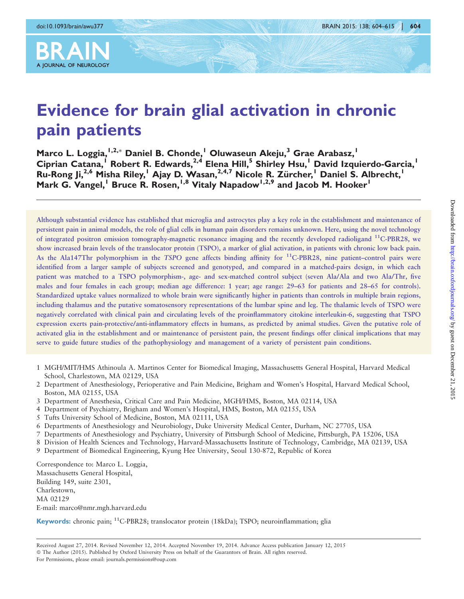

# Evidence for brain glial activation in chronic pain patients

Marco L. Loggia, <sup>I,2,\*</sup> Daniel B. Chonde, <sup>I</sup> Oluwaseun Akeju,<sup>3</sup> Grae Arabasz, <sup>I</sup> Ciprian Catana,<sup>1</sup> Robert R. Edwards,<sup>2,4</sup> Elena Hill,<sup>5</sup> Shirley Hsu,<sup>1</sup> David Izquierdo-Garcia,<sup>1</sup> Ru-Rong Ji,<sup>2,6</sup> Misha Riley,<sup>1</sup> Ajay D. Wasan,<sup>2,4,7</sup> Nicole R. Zürcher,<sup>1</sup> Daniel S. Albrecht,<sup>1</sup> Mark G. Vangel,<sup>1</sup> Bruce R. Rosen,<sup>1,8</sup> Vitaly Napadow<sup>1,2,9</sup> and Jacob M. Hooker<sup>1</sup>

Although substantial evidence has established that microglia and astrocytes play a key role in the establishment and maintenance of persistent pain in animal models, the role of glial cells in human pain disorders remains unknown. Here, using the novel technology of integrated positron emission tomography-magnetic resonance imaging and the recently developed radioligand <sup>11</sup>C-PBR28, we show increased brain levels of the translocator protein (TSPO), a marker of glial activation, in patients with chronic low back pain. As the Ala147Thr polymorphism in the TSPO gene affects binding affinity for  $^{11}$ C-PBR28, nine patient–control pairs were identified from a larger sample of subjects screened and genotyped, and compared in a matched-pairs design, in which each patient was matched to a TSPO polymorphism-, age- and sex-matched control subject (seven Ala/Ala and two Ala/Thr, five males and four females in each group; median age difference: 1 year; age range: 29–63 for patients and 28–65 for controls). Standardized uptake values normalized to whole brain were significantly higher in patients than controls in multiple brain regions, including thalamus and the putative somatosensory representations of the lumbar spine and leg. The thalamic levels of TSPO were negatively correlated with clinical pain and circulating levels of the proinflammatory citokine interleukin-6, suggesting that TSPO expression exerts pain-protective/anti-inflammatory effects in humans, as predicted by animal studies. Given the putative role of activated glia in the establishment and or maintenance of persistent pain, the present findings offer clinical implications that may serve to guide future studies of the pathophysiology and management of a variety of persistent pain conditions.

- 1 MGH/MIT/HMS Athinoula A. Martinos Center for Biomedical Imaging, Massachusetts General Hospital, Harvard Medical School, Charlestown, MA 02129, USA
- 2 Department of Anesthesiology, Perioperative and Pain Medicine, Brigham and Women's Hospital, Harvard Medical School, Boston, MA 02155, USA
- 3 Department of Anesthesia, Critical Care and Pain Medicine, MGH/HMS, Boston, MA 02114, USA
- 4 Department of Psychiatry, Brigham and Women's Hospital, HMS, Boston, MA 02155, USA
- 5 Tufts University School of Medicine, Boston, MA 02111, USA
- 6 Departments of Anesthesiology and Neurobiology, Duke University Medical Center, Durham, NC 27705, USA
- 7 Departments of Anesthesiology and Psychiatry, University of Pittsburgh School of Medicine, Pittsburgh, PA 15206, USA
- 8 Division of Health Sciences and Technology, Harvard-Massachusetts Institute of Technology, Cambridge, MA 02139, USA
- 9 Department of Biomedical Engineering, Kyung Hee University, Seoul 130-872, Republic of Korea

Correspondence to: Marco L. Loggia, Massachusetts General Hospital, Building 149, suite 2301, Charlestown, MA 02129 E-mail: marco@nmr.mgh.harvard.edu

Keywords: chronic pain; 11C-PBR28; translocator protein (18kDa); TSPO; neuroinflammation; glia

Received August 27, 2014. Revised November 12, 2014. Accepted November 19, 2014. Advance Access publication January 12, 2015 - The Author (2015). Published by Oxford University Press on behalf of the Guarantors of Brain. All rights reserved. For Permissions, please email: journals.permissions@oup.com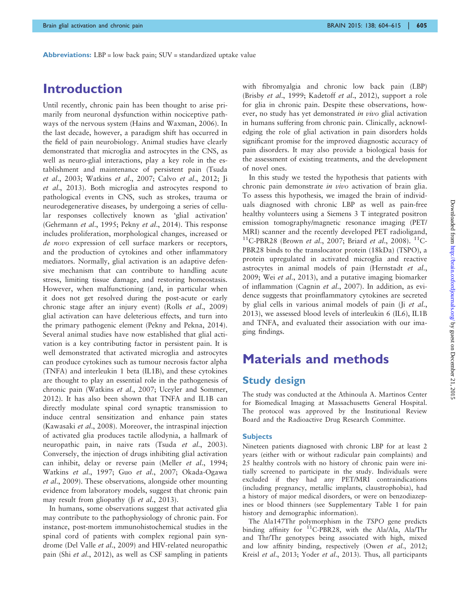### Introduction

Until recently, chronic pain has been thought to arise primarily from neuronal dysfunction within nociceptive pathways of the nervous system ([Hains and Waxman, 2006\)](#page-9-0). In the last decade, however, a paradigm shift has occurred in the field of pain neurobiology. Animal studies have clearly demonstrated that microglia and astrocytes in the CNS, as well as neuro-glial interactions, play a key role in the establishment and maintenance of persistent pain ([Tsuda](#page-10-0) et al[., 2003](#page-10-0); [Watkins](#page-10-0) et al., 2007; Calvo et al[., 2012](#page-8-0); [Ji](#page-9-0) et al[., 2013](#page-9-0)). Both microglia and astrocytes respond to pathological events in CNS, such as strokes, trauma or neurodegenerative diseases, by undergoing a series of cellular responses collectively known as 'glial activation' ([Gehrmann](#page-9-0) et al., 1995; Pekny et al[., 2014\)](#page-10-0). This response includes proliferation, morphological changes, increased or de novo expression of cell surface markers or receptors, and the production of cytokines and other inflammatory mediators. Normally, glial activation is an adaptive defensive mechanism that can contribute to handling acute stress, limiting tissue damage, and restoring homeostasis. However, when malfunctioning (and, in particular when it does not get resolved during the post-acute or early chronic stage after an injury event) (Rolls et al[., 2009\)](#page-10-0) glial activation can have deleterious effects, and turn into the primary pathogenic element ([Pekny and Pekna, 2014\)](#page-10-0). Several animal studies have now established that glial activation is a key contributing factor in persistent pain. It is well demonstrated that activated microglia and astrocytes can produce cytokines such as tumour necrosis factor alpha (TNFA) and interleukin 1 beta (IL1B), and these cytokines are thought to play an essential role in the pathogenesis of chronic pain [\(Watkins](#page-10-0) et al., 2007; [Uceyler and Sommer,](#page-10-0) [2012\)](#page-10-0). It has also been shown that TNFA and IL1B can directly modulate spinal cord synaptic transmission to induce central sensitization and enhance pain states ([Kawasaki](#page-9-0) et al., 2008). Moreover, the intraspinal injection of activated glia produces tactile allodynia, a hallmark of neuropathic pain, in naive rats (Tsuda et al[., 2003](#page-10-0)). Conversely, the injection of drugs inhibiting glial activation can inhibit, delay or reverse pain (Meller et al[., 1994](#page-10-0); [Watkins](#page-10-0) et al., 1997; Guo et al[., 2007](#page-9-0); [Okada-Ogawa](#page-10-0) et al[., 2009\)](#page-10-0). These observations, alongside other mounting evidence from laboratory models, suggest that chronic pain may result from gliopathy (Ji et al[., 2013](#page-9-0)).

In humans, some observations suggest that activated glia may contribute to the pathophysiology of chronic pain. For instance, post-mortem immunohistochemical studies in the spinal cord of patients with complex regional pain syndrome ([Del Valle](#page-9-0) et al., 2009) and HIV-related neuropathic pain (Shi et al[., 2012\)](#page-10-0), as well as CSF sampling in patients with fibromyalgia and chronic low back pain (LBP) (Brisby et al[., 1999](#page-8-0); [Kadetoff](#page-9-0) et al., 2012), support a role for glia in chronic pain. Despite these observations, however, no study has yet demonstrated *in vivo* glial activation in humans suffering from chronic pain. Clinically, acknowledging the role of glial activation in pain disorders holds significant promise for the improved diagnostic accuracy of pain disorders. It may also provide a biological basis for the assessment of existing treatments, and the development of novel ones.

In this study we tested the hypothesis that patients with chronic pain demonstrate *in vivo* activation of brain glia. To assess this hypothesis, we imaged the brain of individuals diagnosed with chronic LBP as well as pain-free healthy volunteers using a Siemens 3 T integrated positron emission tomography/magnetic resonance imaging (PET/ MRI) scanner and the recently developed PET radioligand, <sup>11</sup>C-PBR28 (Brown *et al.*, 2007; Briard *et al.*, 2008).<sup>11</sup>C-PBR28 binds to the translocator protein (18kDa) (TSPO), a protein upregulated in activated microglia and reactive astrocytes in animal models of pain ([Hernstadt](#page-9-0) et al., [2009](#page-9-0); Wei et al[., 2013](#page-10-0)), and a putative imaging biomarker of inflammation (Cagnin et al[., 2007\)](#page-8-0). In addition, as evidence suggests that proinflammatory cytokines are secreted by glial cells in various animal models of pain (Ji [et al](#page-9-0)., [2013](#page-9-0)), we assessed blood levels of interleukin 6 (IL6), IL1B and TNFA, and evaluated their association with our imaging findings.

### Materials and methods

### Study design

The study was conducted at the Athinoula A. Martinos Center for Biomedical Imaging at Massachusetts General Hospital. The protocol was approved by the Institutional Review Board and the Radioactive Drug Research Committee.

### **Subjects**

Nineteen patients diagnosed with chronic LBP for at least 2 years (either with or without radicular pain complaints) and 25 healthy controls with no history of chronic pain were initially screened to participate in the study. Individuals were excluded if they had any PET/MRI contraindications (including pregnancy, metallic implants, claustrophobia), had a history of major medical disorders, or were on benzodiazepines or blood thinners (see [Supplementary Table 1](http://brain.oxfordjournals.org/lookup/suppl/doi:10.1093/brain/awu377/-/DC1) for pain history and demographic information).

The Ala147Thr polymorphism in the TSPO gene predicts binding affinity for <sup>11</sup>C-PBR28, with the Ala/Ala, Ala/Thr and Thr/Thr genotypes being associated with high, mixed and low affinity binding, respectively (Owen et al[., 2012](#page-10-0); Kreisl et al[., 2013](#page-9-0); Yoder et al[., 2013\)](#page-11-0). Thus, all participants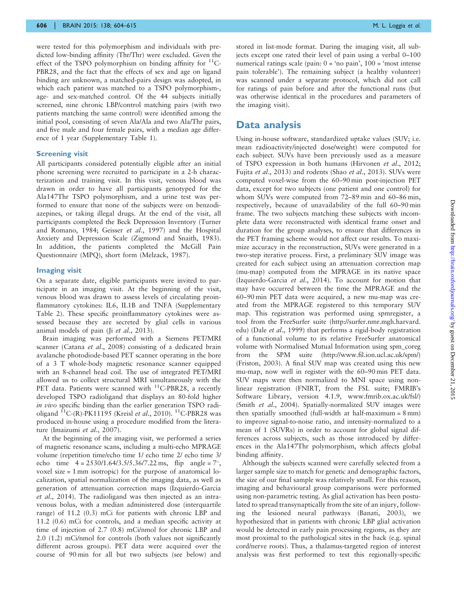were tested for this polymorphism and individuals with predicted low-binding affinity (Thr/Thr) were excluded. Given the effect of the TSPO polymorphism on binding affinity for  $^{11}$ C-PBR28, and the fact that the effects of sex and age on ligand binding are unknown, a matched-pairs design was adopted, in which each patient was matched to a TSPO polymorphism-, age- and sex-matched control. Of the 44 subjects initially screened, nine chronic LBP/control matching pairs (with two patients matching the same control) were identified among the initial pool, consisting of seven Ala/Ala and two Ala/Thr pairs, and five male and four female pairs, with a median age difference of 1 year [\(Supplementary Table 1](http://brain.oxfordjournals.org/lookup/suppl/doi:10.1093/brain/awu377/-/DC1)).

#### Screening visit

All participants considered potentially eligible after an initial phone screening were recruited to participate in a 2-h characterization and training visit. In this visit, venous blood was drawn in order to have all participants genotyped for the Ala147Thr TSPO polymorphism, and a urine test was performed to ensure that none of the subjects were on benzodiazepines, or taking illegal drugs. At the end of the visit, all participants completed the Beck Depression Inventory [\(Turner](#page-10-0) [and Romano, 1984;](#page-10-0) Geisser et al[., 1997](#page-9-0)) and the Hospital Anxiety and Depression Scale [\(Zigmond and Snaith, 1983\)](#page-11-0). In addition, the patients completed the McGill Pain Questionnaire (MPQ), short form [\(Melzack, 1987\)](#page-10-0).

#### Imaging visit

On a separate date, eligible participants were invited to participate in an imaging visit. At the beginning of the visit, venous blood was drawn to assess levels of circulating proin-flammatory cytokines: IL6, IL1B and TNFA ([Supplementary](http://brain.oxfordjournals.org/lookup/suppl/doi:10.1093/brain/awu377/-/DC1) [Table 2](http://brain.oxfordjournals.org/lookup/suppl/doi:10.1093/brain/awu377/-/DC1)). These specific proinflammatory cytokines were assessed because they are secreted by glial cells in various animal models of pain (Ji et al[., 2013](#page-9-0)).

Brain imaging was performed with a Siemens PET/MRI scanner (Catana et al[., 2008](#page-9-0)) consisting of a dedicated brain avalanche photodiode-based PET scanner operating in the bore of a 3 T whole-body magnetic resonance scanner equipped with an 8-channel head coil. The use of integrated PET/MRI allowed us to collect structural MRI simultaneously with the PET data. Patients were scanned with <sup>11</sup>C-PBR28, a recently developed TSPO radioligand that displays an 80-fold higher in vivo specific binding than the earlier generation TSPO radioligand  ${}^{11}C$ -(R)-PK11195 (Kreisl *et al.*, 2010).  ${}^{11}C$ -PBR28 was produced in-house using a procedure modified from the literature ([Imaizumi](#page-9-0) et al., 2007).

At the beginning of the imaging visit, we performed a series of magnetic resonance scans, including a multi-echo MPRAGE volume (repetition time/echo time 1/ echo time 2/ echo time 3/ echo time  $4 = 2530/1.64/3.5/5.36/7.22$  ms, flip angle = 7°, voxel size = 1 mm isotropic) for the purpose of anatomical localization, spatial normalization of the imaging data, as well as generation of attenuation correction maps [\(Izquierdo-Garcia](#page-9-0) et al[., 2014\)](#page-9-0). The radioligand was then injected as an intravenous bolus, with a median administered dose (interquartile range) of 11.2 (0.3) mCi for patients with chronic LBP and 11.2 (0.6) mCi for controls, and a median specific activity at time of injection of 2.7 (0.8) mCi/nmol for chronic LBP and 2.0 (1.2) mCi/nmol for controls (both values not significantly different across groups). PET data were acquired over the course of 90 min for all but two subjects (see below) and

stored in list-mode format. During the imaging visit, all subjects except one rated their level of pain using a verbal 0–100 numerical ratings scale (pain:  $0 = \text{`no pain'}, 100 = \text{`most intense}$ pain tolerable'). The remaining subject (a healthy volunteer) was scanned under a separate protocol, which did not call for ratings of pain before and after the functional runs (but was otherwise identical in the procedures and parameters of the imaging visit).

### Data analysis

Using in-house software, standardized uptake values (SUV; i.e. mean radioactivity/injected dose/weight) were computed for each subject. SUVs have been previously used as a measure of TSPO expression in both humans [\(Hirvonen](#page-9-0) et al., 2012; Fujita et al[., 2013\)](#page-9-0) and rodents (Shao et al[., 2013\)](#page-10-0). SUVs were computed voxel-wise from the 60–90 min post-injection PET data, except for two subjects (one patient and one control) for whom SUVs were computed from 72–89 min and 60–86 min, respectively, because of unavailability of the full 60–90 min frame. The two subjects matching these subjects with incomplete data were reconstructed with identical frame onset and duration for the group analyses, to ensure that differences in the PET framing scheme would not affect our results. To maximize accuracy in the reconstruction, SUVs were generated in a two-step iterative process. First, a preliminary SUV image was created for each subject using an attenuation correction map (mu-map) computed from the MPRAGE in its native space ([Izquierdo-Garcia](#page-9-0) et al., 2014). To account for motion that may have occurred between the time the MPRAGE and the 60–90 min PET data were acquired, a new mu-map was created from the MPRAGE registered to this temporary SUV map. This registration was performed using spmregister, a tool from the FreeSurfer suite [\(http://surfer.nmr.mgh.harvard.](http://surfer.nmr.mgh.harvard.edu) [edu\)](http://surfer.nmr.mgh.harvard.edu) (Dale et al[., 1999\)](#page-9-0) that performs a rigid-body registration of a functional volume to its relative FreeSurfer anatomical volume with Normalised Mutual Information using spm\_coreg from the SPM suite [\(http://www.fil.ion.ucl.ac.uk/spm/\)](http://www.fil.ion.ucl.ac.uk/spm/) ([Friston, 2003\)](#page-9-0). A final SUV map was created using this new mu-map, now well in register with the 60–90 min PET data. SUV maps were then normalized to MNI space using nonlinear registration (FNIRT, from the FSL suite; FMRIB's Software Library, version 4.1.9, [www.fmrib.ox.ac.uk/fsl/\)](www.fmrib.ox.ac.uk/fsl/) (Smith et al[., 2004](#page-10-0)). Spatially-normalized SUV images were then spatially smoothed (full-width at half-maximum = 8 mm) to improve signal-to-noise ratio, and intensity-normalized to a mean of 1 (SUVRs) in order to account for global signal differences across subjects, such as those introduced by differences in the Ala147Thr polymorphism, which affects global binding affinity.

Although the subjects scanned were carefully selected from a larger sample size to match for genetic and demographic factors, the size of our final sample was relatively small. For this reason, imaging and behavioural group comparisons were performed using non-parametric testing. As glial activation has been postulated to spread transynaptically from the site of an injury, following the lesioned neural pathways [\(Banati, 2003\)](#page-8-0), we hypothesized that in patients with chronic LBP glial activation would be detected in early pain processing regions, as they are most proximal to the pathological sites in the back (e.g. spinal cord/nerve roots). Thus, a thalamus-targeted region of interest analysis was first performed to test this regionally-specific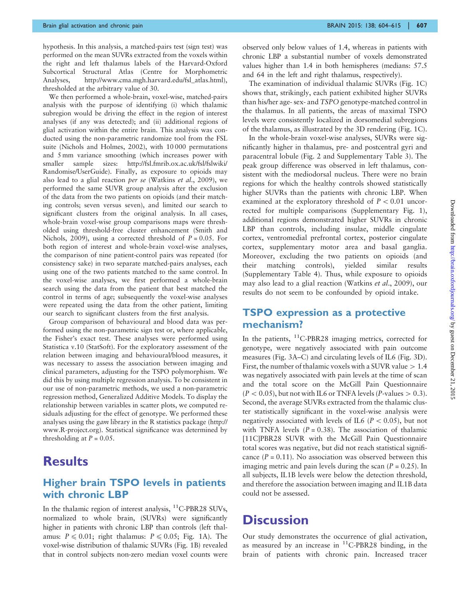hypothesis. In this analysis, a matched-pairs test (sign test) was performed on the mean SUVRs extracted from the voxels within the right and left thalamus labels of the Harvard-Oxford Subcortical Structural Atlas (Centre for Morphometric Analyses, [http://www.cma.mgh.harvard.edu/fsl\\_atlas.html](http://www.cma.mgh.harvard.edu/fsl_atlas.html)), thresholded at the arbitrary value of 30.

We then performed a whole-brain, voxel-wise, matched-pairs analysis with the purpose of identifying (i) which thalamic subregion would be driving the effect in the region of interest analyses (if any was detected); and (ii) additional regions of glial activation within the entire brain. This analysis was conducted using the non-parametric randomize tool from the FSL suite [\(Nichols and Holmes, 2002](#page-10-0)), with 10 000 permutations and 5 mm variance smoothing (which increases power with smaller sample sizes: [http://fsl.fmrib.ox.ac.uk/fsl/fslwiki/](http://fsl.fmrib.ox.ac.uk/fsl/fslwiki/Randomise/UserGuide) [Randomise/UserGuide\)](http://fsl.fmrib.ox.ac.uk/fsl/fslwiki/Randomise/UserGuide). Finally, as exposure to opioids may also lead to a glial reaction per se [\(Watkins](#page-10-0) et al., 2009), we performed the same SUVR group analysis after the exclusion of the data from the two patients on opioids (and their matching controls; seven versus seven), and limited our search to significant clusters from the original analysis. In all cases, whole-brain voxel-wise group comparisons maps were thresholded using threshold-free cluster enhancement [\(Smith and](#page-10-0) [Nichols, 2009\)](#page-10-0), using a corrected threshold of  $P = 0.05$ . For both region of interest and whole-brain voxel-wise analyses, the comparison of nine patient-control pairs was repeated (for consistency sake) in two separate matched-pairs analyses, each using one of the two patients matched to the same control. In the voxel-wise analyses, we first performed a whole-brain search using the data from the patient that best matched the control in terms of age; subsequently the voxel-wise analyses were repeated using the data from the other patient, limiting our search to significant clusters from the first analysis.

Group comparison of behavioural and blood data was performed using the non-parametric sign test or, where applicable, the Fisher's exact test. These analyses were performed using Statistica v.10 (StatSoft). For the exploratory assessment of the relation between imaging and behavioural/blood measures, it was necessary to assess the association between imaging and clinical parameters, adjusting for the TSPO polymorphism. We did this by using multiple regression analysis. To be consistent in our use of non-parametric methods, we used a non-parametric regression method, Generalized Additive Models. To display the relationship between variables in scatter plots, we computed residuals adjusting for the effect of genotype. We performed these analyses using the gam library in the R statistics package ([http://](http://www.R-project.org) [www.R-project.org\)](http://www.R-project.org). Statistical significance was determined by thresholding at  $P = 0.05$ .

# **Results**

### Higher brain TSPO levels in patients with chronic LBP

In the thalamic region of interest analysis,  ${}^{11}$ C-PBR28 SUVs, normalized to whole brain, (SUVRs) were significantly higher in patients with chronic LBP than controls (left thalamus:  $P \le 0.01$ ; right thalamus:  $P \le 0.05$ ; [Fig. 1A](#page-4-0)). The voxel-wise distribution of thalamic SUVRs [\(Fig. 1](#page-4-0)B) revealed that in control subjects non-zero median voxel counts were observed only below values of 1.4, whereas in patients with chronic LBP a substantial number of voxels demonstrated values higher than 1.4 in both hemispheres (medians: 57.5 and 64 in the left and right thalamus, respectively).

The examination of individual thalamic SUVRs ([Fig. 1C](#page-4-0)) shows that, strikingly, each patient exhibited higher SUVRs than his/her age- sex- and TSPO genotype-matched control in the thalamus. In all patients, the areas of maximal TSPO levels were consistently localized in dorsomedial subregions of the thalamus, as illustrated by the 3D rendering [\(Fig. 1](#page-4-0)C).

In the whole-brain voxel-wise analyses, SUVRs were significantly higher in thalamus, pre- and postcentral gyri and paracentral lobule ([Fig. 2](#page-5-0) and [Supplementary Table 3](http://brain.oxfordjournals.org/lookup/suppl/doi:10.1093/brain/awu377/-/DC1)). The peak group difference was observed in left thalamus, consistent with the mediodorsal nucleus. There were no brain regions for which the healthy controls showed statistically higher SUVRs than the patients with chronic LBP. When examined at the exploratory threshold of  $P < 0.01$  uncorrected for multiple comparisons ([Supplementary Fig. 1\)](http://brain.oxfordjournals.org/lookup/suppl/doi:10.1093/brain/awu377/-/DC1), additional regions demonstrated higher SUVRs in chronic LBP than controls, including insulae, middle cingulate cortex, ventromedial prefrontal cortex, posterior cingulate cortex, supplementary motor area and basal ganglia. Moreover, excluding the two patients on opioids (and their matching controls), yielded similar results ([Supplementary Table 4](http://brain.oxfordjournals.org/lookup/suppl/doi:10.1093/brain/awu377/-/DC1)). Thus, while exposure to opioids may also lead to a glial reaction [\(Watkins](#page-10-0) et al., 2009), our results do not seem to be confounded by opioid intake.

### TSPO expression as a protective mechanism?

In the patients, 11C-PBR28 imaging metrics, corrected for genotype, were negatively associated with pain outcome measures [\(Fig. 3](#page-6-0)A–C) and circulating levels of IL6 ([Fig. 3D](#page-6-0)). First, the number of thalamic voxels with a SUVR value  $> 1.4$ was negatively associated with pain levels at the time of scan and the total score on the McGill Pain Questionnaire  $(P < 0.05)$ , but not with IL6 or TNFA levels (*P*-values  $> 0.3$ ). Second, the average SUVRs extracted from the thalamic cluster statistically significant in the voxel-wise analysis were negatively associated with levels of IL6 ( $P < 0.05$ ), but not with TNFA levels  $(P = 0.38)$ . The association of thalamic [11C]PBR28 SUVR with the McGill Pain Questionnaire total scores was negative, but did not reach statistical significance  $(P = 0.11)$ . No association was observed between this imaging metric and pain levels during the scan  $(P = 0.25)$ . In all subjects, IL1B levels were below the detection threshold, and therefore the association between imaging and IL1B data could not be assessed.

### **Discussion**

Our study demonstrates the occurrence of glial activation, as measured by an increase in  $^{11}$ C-PBR28 binding, in the brain of patients with chronic pain. Increased tracer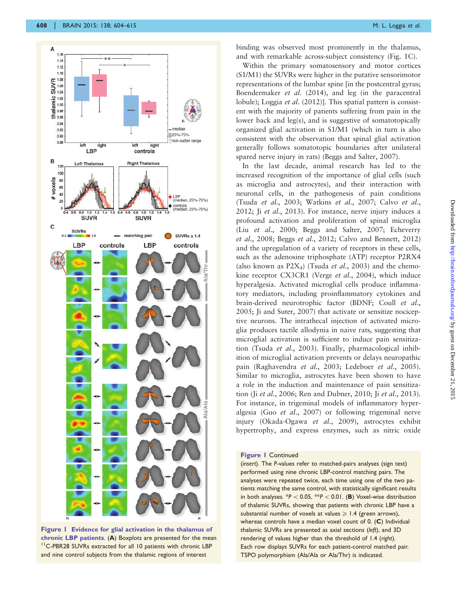

<span id="page-4-0"></span>

Figure 1 Evidence for glial activation in the thalamus of chronic LBP patients. (A) Boxplots are presented for the mean <sup>11</sup>C-PBR28 SUVRs extracted for all 10 patients with chronic LBP and nine control subjects from the thalamic regions of interest

binding was observed most prominently in the thalamus, and with remarkable across-subject consistency (Fig. 1C).

Within the primary somatosensory and motor cortices (S1/M1) the SUVRs were higher in the putative sensorimotor representations of the lumbar spine [in the postcentral gyrus; [Boendermaker](#page-8-0) et al. (2014), and leg (in the paracentral lobule); Loggia et al[. \(2012\)\]](#page-10-0). This spatial pattern is consistent with the majority of patients suffering from pain in the lower back and leg(s), and is suggestive of somatotopically organized glial activation in S1/M1 (which in turn is also consistent with the observation that spinal glial activation generally follows somatotopic boundaries after unilateral spared nerve injury in rats) [\(Beggs and Salter, 2007\)](#page-8-0).

In the last decade, animal research has led to the increased recognition of the importance of glial cells (such as microglia and astrocytes), and their interaction with neuronal cells, in the pathogenesis of pain conditions (Tsuda et al[., 2003](#page-10-0); [Watkins](#page-10-0) et al., 2007; [Calvo](#page-8-0) et al., [2012;](#page-8-0) Ji et al[., 2013](#page-9-0)). For instance, nerve injury induces a profound activation and proliferation of spinal microglia (Liu et al[., 2000;](#page-10-0) [Beggs and Salter, 2007](#page-8-0); [Echeverry](#page-9-0) et al[., 2008](#page-9-0); Beggs et al[., 2012; Calvo and Bennett, 2012\)](#page-8-0) and the upregulation of a variety of receptors in these cells, such as the adenosine triphosphate (ATP) receptor P2RX4 (also known as  $P2X_4$ ) (Tsuda *et al.*, 2003) and the chemokine receptor CX3CR1 (Verge et al[., 2004](#page-10-0)), which induce hyperalgesia. Activated microglial cells produce inflammatory mediators, including proinflammatory cytokines and brain-derived neurotrophic factor (BDNF; [Coull](#page-9-0) et al., [2005; Ji and Suter, 2007](#page-9-0)) that activate or sensitize nociceptive neurons. The intrathecal injection of activated microglia produces tactile allodynia in naive rats, suggesting that microglial activation is sufficient to induce pain sensitization (Tsuda et al[., 2003](#page-10-0)). Finally, pharmacological inhibition of microglial activation prevents or delays neuropathic pain [\(Raghavendra](#page-10-0) et al., 2003; [Ledeboer](#page-9-0) et al., 2005). Similar to microglia, astrocytes have been shown to have a role in the induction and maintenance of pain sensitization (Ji et al[., 2006;](#page-9-0) [Ren and Dubner, 2010](#page-10-0); Ji et al[., 2013](#page-9-0)). For instance, in trigeminal models of inflammatory hyperalgesia (Guo et al[., 2007\)](#page-9-0) or following trigeminal nerve injury [\(Okada-Ogawa](#page-10-0) et al., 2009), astrocytes exhibit hypertrophy, and express enzymes, such as nitric oxide

#### Figure 1 Continued

(insert). The P-values refer to matched-pairs analyses (sign test) performed using nine chronic LBP-control matching pairs. The analyses were repeated twice, each time using one of the two patients matching the same control, with statistically significant results in both analyses. \*P < 0.05, \*\*P < 0.01. (B) Voxel-wise distribution of thalamic SUVRs, showing that patients with chronic LBP have a substantial number of voxels at values  $\geq 1.4$  (green arrows), whereas controls have a median voxel count of 0. (C) Individual thalamic SUVRs are presented as axial sections (left), and 3D rendering of values higher than the threshold of 1.4 (right). Each row displays SUVRs for each patient-control matched pair. TSPO polymorphism (Ala/Ala or Ala/Thr) is indicated.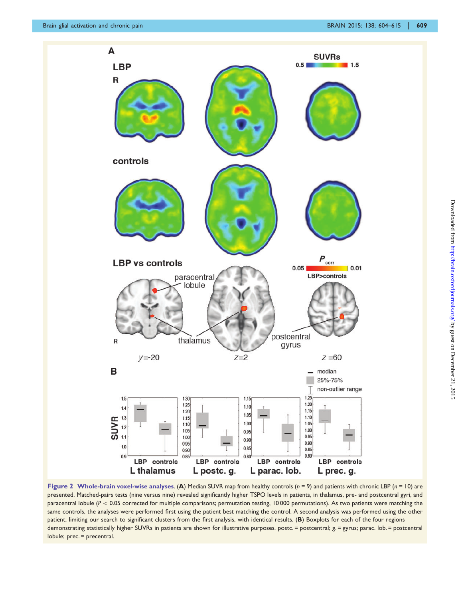<span id="page-5-0"></span>

Figure 2 Whole-brain voxel-wise analyses. (A) Median SUVR map from healthy controls ( $n = 9$ ) and patients with chronic LBP ( $n = 10$ ) are presented. Matched-pairs tests (nine versus nine) revealed significantly higher TSPO levels in patients, in thalamus, pre- and postcentral gyri, and paracentral lobule ( $P < 0.05$  corrected for multiple comparisons; permutation testing, 10 000 permutations). As two patients were matching the same controls, the analyses were performed first using the patient best matching the control. A second analysis was performed using the other patient, limiting our search to significant clusters from the first analysis, with identical results. (B) Boxplots for each of the four regions demonstrating statistically higher SUVRs in patients are shown for illustrative purposes. postc. = postcentral; g. = gyrus; parac. lob. = postcentral lobule; prec. = precentral.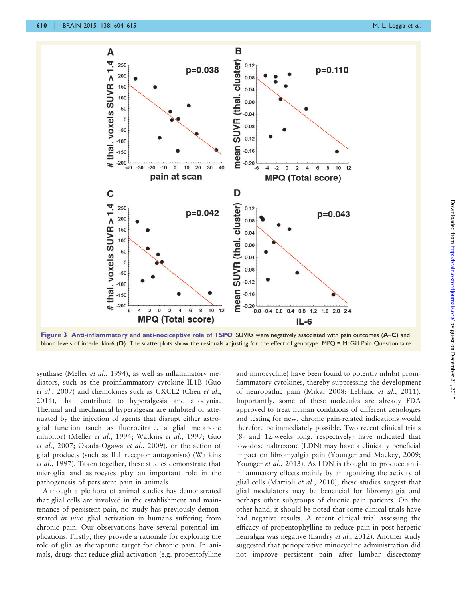<span id="page-6-0"></span>

Figure 3 Anti-inflammatory and anti-nociceptive role of TSPO. SUVRs were negatively associated with pain outcomes (A–C) and blood levels of interleukin-6 (D). The scatterplots show the residuals adjusting for the effect of genotype. MPQ = McGill Pain Questionnaire.

synthase (Meller *et al.*, 1994), as well as inflammatory mediators, such as the proinflammatory cytokine IL1B [\(Guo](#page-9-0) et al[., 2007\)](#page-9-0) and chemokines such as CXCL2 [\(Chen](#page-9-0) et al., [2014](#page-9-0)), that contribute to hyperalgesia and allodynia. Thermal and mechanical hyperalgesia are inhibited or attenuated by the injection of agents that disrupt either astroglial function (such as fluorocitrate, a glial metabolic inhibitor) (Meller et al[., 1994; Watkins](#page-10-0) et al., 1997; [Guo](#page-9-0) et al[., 2007;](#page-9-0) [Okada-Ogawa](#page-10-0) et al., 2009), or the action of glial products (such as IL1 receptor antagonists) [\(Watkins](#page-10-0) et al[., 1997](#page-10-0)). Taken together, these studies demonstrate that microglia and astrocytes play an important role in the pathogenesis of persistent pain in animals.

Although a plethora of animal studies has demonstrated that glial cells are involved in the establishment and maintenance of persistent pain, no study has previously demonstrated *in vivo* glial activation in humans suffering from chronic pain. Our observations have several potential implications. Firstly, they provide a rationale for exploring the role of glia as therapeutic target for chronic pain. In animals, drugs that reduce glial activation (e.g. propentofylline

and minocycline) have been found to potently inhibit proinflammatory cytokines, thereby suppressing the development of neuropathic pain ([Mika, 2008](#page-10-0); [Leblanc](#page-9-0) et al., 2011). Importantly, some of these molecules are already FDA approved to treat human conditions of different aetiologies and testing for new, chronic pain-related indications would therefore be immediately possible. Two recent clinical trials (8- and 12-weeks long, respectively) have indicated that low-dose naltrexone (LDN) may have a clinically beneficial impact on fibromyalgia pain [\(Younger and Mackey, 2009](#page-11-0); [Younger](#page-11-0) et al., 2013). As LDN is thought to produce antiinflammatory effects mainly by antagonizing the activity of glial cells ([Mattioli](#page-10-0) et al., 2010), these studies suggest that glial modulators may be beneficial for fibromyalgia and perhaps other subgroups of chronic pain patients. On the other hand, it should be noted that some clinical trials have had negative results. A recent clinical trial assessing the efficacy of propentophylline to reduce pain in post-herpetic neuralgia was negative ([Landry](#page-9-0) et al., 2012). Another study suggested that perioperative minocycline administration did not improve persistent pain after lumbar discectomy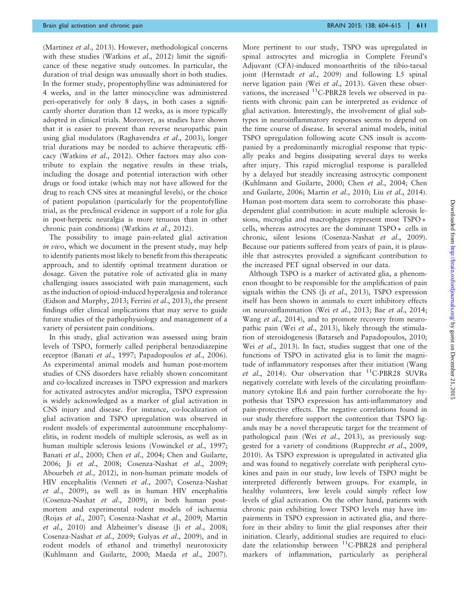([Martinez](#page-10-0) et al., 2013). However, methodological concerns with these studies ([Watkins](#page-10-0) et al., 2012) limit the significance of these negative study outcomes. In particular, the duration of trial design was unusually short in both studies. In the former study, propentophylline was administered for 4 weeks, and in the latter minocycline was administered peri-operatively for only 8 days, in both cases a significantly shorter duration than 12 weeks, as is more typically adopted in clinical trials. Moreover, as studies have shown that it is easier to prevent than reverse neuropathic pain using glial modulators ([Raghavendra](#page-10-0) et al., 2003), longer trial durations may be needed to achieve therapeutic efficacy [\(Watkins](#page-10-0) et al., 2012). Other factors may also contribute to explain the negative results in these trials, including the dosage and potential interaction with other drugs or food intake (which may not have allowed for the drug to reach CNS sites at meaningful levels), or the choice of patient population (particularly for the propentofylline trial, as the preclinical evidence in support of a role for glia in post-herpetic neuralgia is more tenuous than in other chronic pain conditions) [\(Watkins](#page-10-0) et al., 2012).

The possibility to image pain-related glial activation in vivo, which we document in the present study, may help to identify patients most likely to benefit from this therapeutic approach, and to identify optimal treatment duration or dosage. Given the putative role of activated glia in many challenging issues associated with pain management, such as the induction of opioid-induced hyperalgesia and tolerance ([Eidson and Murphy, 2013](#page-9-0); Ferrini et al[., 2013](#page-9-0)), the present findings offer clinical implications that may serve to guide future studies of the pathophysiology and management of a variety of persistent pain conditions.

In this study, glial activation was assessed using brain levels of TSPO, formerly called peripheral benzodiazepine receptor (Banati et al[., 1997;](#page-8-0) [Papadopoulos](#page-10-0) et al., 2006). As experimental animal models and human post-mortem studies of CNS disorders have reliably shown concomitant and co-localized increases in TSPO expression and markers for activated astrocytes and/or microglia, TSPO expression is widely acknowledged as a marker of glial activation in CNS injury and disease. For instance, co-localization of glial activation and TSPO upregulation was observed in rodent models of experimental autoimmune encephalomyelitis, in rodent models of multiple sclerosis, as well as in human multiple sclerosis lesions [\(Vowinckel](#page-10-0) et al., 1997; Banati et al[., 2000;](#page-8-0) Chen et al[., 2004](#page-9-0); [Chen and Guilarte,](#page-9-0) [2006;](#page-9-0) Ji et al[., 2008; Cosenza-Nashat](#page-9-0) et al., 2009; [Abourbeh](#page-8-0) et al., 2012), in non-human primate models of HIV encephalitis (Venneti et al[., 2007](#page-10-0); [Cosenza-Nashat](#page-9-0) et al[., 2009](#page-9-0)), as well as in human HIV encephalitis ([Cosenza-Nashat](#page-9-0) et al., 2009), in both human postmortem and experimental rodent models of ischaemia (Rojas et al[., 2007](#page-10-0); [Cosenza-Nashat](#page-9-0) et al., 2009; [Martin](#page-10-0) et al[., 2010\)](#page-10-0) and Alzheimer's disease (Ji et al[., 2008](#page-9-0); [Cosenza-Nashat](#page-9-0) et al., 2009; Gulyas et al[., 2009\)](#page-9-0), and in rodent models of ethanol and trimethyl neurotoxicity ([Kuhlmann and Guilarte, 2000;](#page-9-0) Maeda et al[., 2007](#page-10-0)).

More pertinent to our study, TSPO was upregulated in spinal astrocytes and microglia in Complete Freund's Adjuvant (CFA)-induced monoarthritis of the tibio-tarsal joint [\(Hernstadt](#page-9-0) et al., 2009) and following L5 spinal nerve ligation pain (Wei et al[., 2013\)](#page-10-0). Given these observations, the increased  $^{11}$ C-PBR28 levels we observed in patients with chronic pain can be interpreted as evidence of glial activation. Interestingly, the involvement of glial subtypes in neuroinflammatory responses seems to depend on the time course of disease. In several animal models, initial TSPO upregulation following acute CNS insult is accompanied by a predominantly microglial response that typically peaks and begins dissipating several days to weeks after injury. This rapid microglial response is paralleled by a delayed but steadily increasing astrocytic component ([Kuhlmann and Guilarte, 2000](#page-9-0); Chen et al[., 2004; Chen](#page-9-0) [and Guilarte, 2006](#page-9-0); Martin et al[., 2010](#page-10-0); Liu et al[., 2014\)](#page-10-0). Human post-mortem data seem to corroborate this phasedependent glial contribution: in acute multiple sclerosis lesions, microglia and macrophages represent most TSPO + cells, whereas astrocytes are the dominant TSPO + cells in chronic, silent lesions [\(Cosenza-Nashat](#page-9-0) et al., 2009). Because our patients suffered from years of pain, it is plausible that astrocytes provided a significant contribution to the increased PET signal observed in our data.

Although TSPO is a marker of activated glia, a phenomenon thought to be responsible for the amplification of pain signals within the CNS (Ji et al[., 2013\),](#page-9-0) TSPO expression itself has been shown in animals to exert inhibitory effects on neuroinflammation (Wei et al[., 2013](#page-10-0); Bae et al[., 2014;](#page-8-0) Wang *et al.*, 2014), and to promote recovery from neuro-pathic pain (Wei et al[., 2013](#page-10-0)), likely through the stimulation of steroidogenesis ([Batarseh and Papadopoulos, 2010;](#page-8-0) Wei et al[., 2013](#page-10-0)). In fact, studies suggest that one of the functions of TSPO in activated glia is to limit the magnitude of inflammatory responses after their initiation [\(Wang](#page-10-0) et al[., 2014](#page-10-0)). Our observation that  $^{11}$ C-PBR28 SUVRs negatively correlate with levels of the circulating proinflammatory cytokine IL6 and pain further corroborate the hypothesis that TSPO expression has anti-inflammatory and pain-protective effects. The negative correlations found in our study therefore support the contention that TSPO ligands may be a novel therapeutic target for the treatment of pathological pain (Wei et al[., 2013\)](#page-10-0), as previously sug-gested for a variety of conditions ([Rupprecht](#page-10-0) et al., 2009, [2010](#page-10-0)). As TSPO expression is upregulated in activated glia and was found to negatively correlate with peripheral cytokines and pain in our study, low levels of TSPO might be interpreted differently between groups. For example, in healthy volunteers, low levels could simply reflect low levels of glial activation. On the other hand, patients with chronic pain exhibiting lower TSPO levels may have impairments in TSPO expression in activated glia, and therefore in their ability to limit the glial responses after their initiation. Clearly, additional studies are required to elucidate the relationship between  $^{11}$ C-PBR28 and peripheral markers of inflammation, particularly as peripheral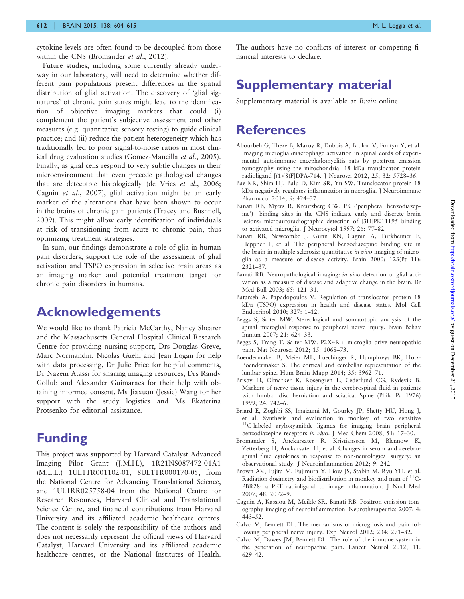<span id="page-8-0"></span>cytokine levels are often found to be decoupled from those within the CNS (Bromander et al., 2012).

Future studies, including some currently already underway in our laboratory, will need to determine whether different pain populations present differences in the spatial distribution of glial activation. The discovery of 'glial signatures' of chronic pain states might lead to the identification of objective imaging markers that could (i) complement the patient's subjective assessment and other measures (e.g. quantitative sensory testing) to guide clinical practice; and (ii) reduce the patient heterogeneity which has traditionally led to poor signal-to-noise ratios in most clinical drug evaluation studies ([Gomez-Mancilla](#page-9-0) et al., 2005). Finally, as glial cells respond to very subtle changes in their microenvironment that even precede pathological changes that are detectable histologically [\(de Vries](#page-10-0) et al., 2006; Cagnin et al., 2007), glial activation might be an early marker of the alterations that have been shown to occur in the brains of chronic pain patients [\(Tracey and Bushnell,](#page-10-0) [2009](#page-10-0)). This might allow early identification of individuals at risk of transitioning from acute to chronic pain, thus optimizing treatment strategies.

In sum, our findings demonstrate a role of glia in human pain disorders, support the role of the assessment of glial activation and TSPO expression in selective brain areas as an imaging marker and potential treatment target for chronic pain disorders in humans.

# Acknowledgements

We would like to thank Patricia McCarthy, Nancy Shearer and the Massachusetts General Hospital Clinical Research Centre for providing nursing support, Drs Douglas Greve, Marc Normandin, Nicolas Guehl and Jean Logan for help with data processing, Dr Julie Price for helpful comments, Dr Nazem Atassi for sharing imaging resources, Drs Randy Gollub and Alexander Guimaraes for their help with obtaining informed consent, Ms Jiaxuan (Jessie) Wang for her support with the study logistics and Ms Ekaterina Protsenko for editorial assistance.

# Funding

This project was supported by Harvard Catalyst Advanced Imaging Pilot Grant (J.M.H.), 1R21NS087472-01A1 (M.L.L.) 1UL1TR001102-01, 8UL1TR000170-05, from the National Centre for Advancing Translational Science, and 1UL1RR025758-04 from the National Centre for Research Resources, Harvard Clinical and Translational Science Centre, and financial contributions from Harvard University and its affiliated academic healthcare centres. The content is solely the responsibility of the authors and does not necessarily represent the official views of Harvard Catalyst, Harvard University and its affiliated academic healthcare centres, or the National Institutes of Health.

The authors have no conflicts of interest or competing financial interests to declare.

# Supplementary material

[Supplementary material](http://brain.oxfordjournals.org/lookup/suppl/doi:10.1093/brain/awu377/-/DC1) is available at *Brain* online.

# **References**

- Abourbeh G, Theze B, Maroy R, Dubois A, Brulon V, Fontyn Y, et al. Imaging microglial/macrophage activation in spinal cords of experimental autoimmune encephalomyelitis rats by positron emission tomography using the mitochondrial 18 kDa translocator protein radioligand [(1)(8)F]DPA-714. J Neurosci 2012, 25; 32: 5728–36.
- Bae KR, Shim HJ, Balu D, Kim SR, Yu SW. Translocator protein 18 kDa negatively regulates inflammation in microglia. J Neuroimmune Pharmacol 2014; 9: 424–37.
- Banati RB, Myers R, Kreutzberg GW. PK ('peripheral benzodiazepine')—binding sites in the CNS indicate early and discrete brain lesions: microautoradiographic detection of [3H]PK11195 binding to activated microglia. J Neurocytol 1997; 26: 77–82.
- Banati RB, Newcombe J, Gunn RN, Cagnin A, Turkheimer F, Heppner F, et al. The peripheral benzodiazepine binding site in the brain in multiple sclerosis: quantitative in vivo imaging of microglia as a measure of disease activity. Brain 2000; 123(Pt 11): 2321–37.
- Banati RB. Neuropathological imaging: in vivo detection of glial activation as a measure of disease and adaptive change in the brain. Br Med Bull 2003; 65: 121–31.
- Batarseh A, Papadopoulos V. Regulation of translocator protein 18 kDa (TSPO) expression in health and disease states. Mol Cell Endocrinol 2010; 327: 1–12.
- Beggs S, Salter MW. Stereological and somatotopic analysis of the spinal microglial response to peripheral nerve injury. Brain Behav Immun 2007; 21: 624–33.
- Beggs S, Trang T, Salter MW. P2X4R + microglia drive neuropathic pain. Nat Neurosci 2012; 15: 1068–73.
- Boendermaker B, Meier ML, Luechinger R, Humphreys BK, Hotz-Boendermaker S. The cortical and cerebellar representation of the lumbar spine. Hum Brain Mapp 2014; 35: 3962–71.
- Brisby H, Olmarker K, Rosengren L, Cederlund CG, Rydevik B. Markers of nerve tissue injury in the cerebrospinal fluid in patients with lumbar disc herniation and sciatica. Spine (Phila Pa 1976) 1999; 24: 742–6.
- Briard E, Zoghbi SS, Imaizumi M, Gourley JP, Shetty HU, Hong J, et al. Synthesis and evaluation in monkey of two sensitive 11C-labeled aryloxyanilide ligands for imaging brain peripheral benzodiazepine receptors in vivo. J Med Chem 2008; 51: 17–30.
- Bromander S, Anckarsater R, Kristiansson M, Blennow K, Zetterberg H, Anckarsater H, et al. Changes in serum and cerebrospinal fluid cytokines in response to non-neurological surgery: an observational study. J Neuroinflammation 2012; 9: 242.
- Brown AK, Fujita M, Fujimura Y, Liow JS, Stabin M, Ryu YH, et al. Radiation dosimetry and biodistribution in monkey and man of  $^{11}$ C-PBR28: a PET radioligand to image inflammation. J Nucl Med 2007; 48: 2072–9.
- Cagnin A, Kassiou M, Meikle SR, Banati RB. Positron emission tomography imaging of neuroinflammation. Neurotherapeutics 2007; 4: 443–52.
- Calvo M, Bennett DL. The mechanisms of microgliosis and pain following peripheral nerve injury. Exp Neurol 2012; 234: 271–82.
- Calvo M, Dawes JM, Bennett DL. The role of the immune system in the generation of neuropathic pain. Lancet Neurol 2012; 11: 629–42.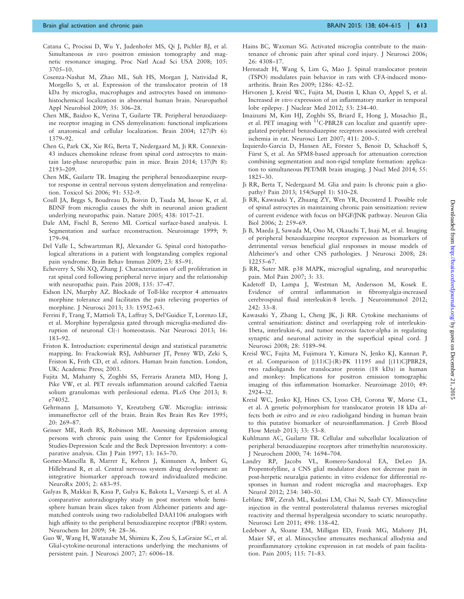- <span id="page-9-0"></span>Catana C, Procissi D, Wu Y, Judenhofer MS, Qi J, Pichler BJ, et al. Simultaneous in vivo positron emission tomography and magnetic resonance imaging. Proc Natl Acad Sci USA 2008; 105: 3705–10.
- Cosenza-Nashat M, Zhao ML, Suh HS, Morgan J, Natividad R, Morgello S, et al. Expression of the translocator protein of 18 kDa by microglia, macrophages and astrocytes based on immunohistochemical localization in abnormal human brain. Neuropathol Appl Neurobiol 2009; 35: 306–28.
- Chen MK, Baidoo K, Verina T, Guilarte TR. Peripheral benzodiazepine receptor imaging in CNS demyelination: functional implications of anatomical and cellular localization. Brain 2004; 127(Pt 6): 1379–92.
- Chen G, Park CK, Xie RG, Berta T, Nedergaard M, Ji RR. Connexin-43 induces chemokine release from spinal cord astrocytes to maintain late-phase neuropathic pain in mice. Brain 2014; 137(Pt 8): 2193–209.
- Chen MK, Guilarte TR. Imaging the peripheral benzodiazepine receptor response in central nervous system demyelination and remyelination. Toxicol Sci 2006; 91: 532–9.
- Coull JA, Beggs S, Boudreau D, Boivin D, Tsuda M, Inoue K, et al. BDNF from microglia causes the shift in neuronal anion gradient underlying neuropathic pain. Nature 2005; 438: 1017–21.
- Dale AM, Fischl B, Sereno MI. Cortical surface-based analysis. I. Segmentation and surface reconstruction. Neuroimage 1999; 9: 179–94.
- Del Valle L, Schwartzman RJ, Alexander G. Spinal cord histopathological alterations in a patient with longstanding complex regional pain syndrome. Brain Behav Immun 2009; 23: 85–91.
- Echeverry S, Shi XQ, Zhang J. Characterization of cell proliferation in rat spinal cord following peripheral nerve injury and the relationship with neuropathic pain. Pain 2008; 135: 37–47.
- Eidson LN, Murphy AZ. Blockade of Toll-like receptor 4 attenuates morphine tolerance and facilitates the pain relieving properties of morphine. J Neurosci 2013; 33: 15952–63.
- Ferrini F, Trang T, Mattioli TA, Laffray S, Del'Guidice T, Lorenzo LE, et al. Morphine hyperalgesia gated through microglia-mediated disruption of neuronal Cl(-) homeostasis. Nat Neurosci 2013; 16: 183–92.
- Friston K. Introduction: experimental design and statistical parametric mapping. In: Frackowiak RSJ, Ashburner JT, Penny WD, Zeki S, Friston K, Frith CD, et al. editors. Human brain function. London, UK: Academic Press; 2003.
- Fujita M, Mahanty S, Zoghbi SS, Ferraris Araneta MD, Hong J, Pike VW, et al. PET reveals inflammation around calcified Taenia solium granulomas with perilesional edema. PLoS One 2013; 8: e74052.
- Gehrmann J, Matsumoto Y, Kreutzberg GW. Microglia: intrinsic immuneffector cell of the brain. Brain Res Brain Res Rev 1995; 20: 269–87.
- Geisser ME, Roth RS, Robinson ME. Assessing depression among persons with chronic pain using the Center for Epidemiological Studies-Depression Scale and the Beck Depression Inventory: a comparative analysis. Clin J Pain 1997; 13: 163–70.
- Gomez-Mancilla B, Marrer E, Kehren J, Kinnunen A, Imbert G, Hillebrand R, et al. Central nervous system drug development: an integrative biomarker approach toward individualized medicine. NeuroRx 2005; 2: 683–95.
- Gulyas B, Makkai B, Kasa P, Gulya K, Bakota L, Varszegi S, et al. A comparative autoradiography study in post mortem whole hemisphere human brain slices taken from Alzheimer patients and agematched controls using two radiolabelled DAA1106 analogues with high affinity to the peripheral benzodiazepine receptor (PBR) system. Neurochem Int 2009; 54: 28–36.
- Guo W, Wang H, Watanabe M, Shimizu K, Zou S, LaGraize SC, et al. Glial-cytokine-neuronal interactions underlying the mechanisms of persistent pain. J Neurosci 2007; 27: 6006–18.
- Hains BC, Waxman SG. Activated microglia contribute to the maintenance of chronic pain after spinal cord injury. J Neurosci 2006; 26: 4308–17.
- Hernstadt H, Wang S, Lim G, Mao J. Spinal translocator protein (TSPO) modulates pain behavior in rats with CFA-induced monoarthritis. Brain Res 2009; 1286: 42–52.
- Hirvonen J, Kreisl WC, Fujita M, Dustin I, Khan O, Appel S, et al. Increased in vivo expression of an inflammatory marker in temporal lobe epilepsy. J Nuclear Med 2012; 53: 234–40.
- Imaizumi M, Kim HJ, Zoghbi SS, Briard E, Hong J, Musachio JL, et al. PET imaging with  $^{11}$ C-PBR28 can localize and quantify upregulated peripheral benzodiazepine receptors associated with cerebral ischemia in rat. Neurosci Lett 2007; 411: 200–5.
- Izquierdo-Garcia D, Hansen AE, Förster S, Benoit D, Schachoff S, Fürst S, et al. An SPM8-based approach for attenuation correction combining segmentation and non-rigid template formation: application to simultaneous PET/MR brain imaging. J Nucl Med 2014; 55: 1825–30.
- Ji RR, Berta T, Nedergaard M. Glia and pain: Is chronic pain a gliopathy? Pain 2013; 154(Suppl 1): S10–28.
- Ji RR, Kawasaki Y, Zhuang ZY, Wen YR, Decosterd I. Possible role of spinal astrocytes in maintaining chronic pain sensitization: review of current evidence with focus on bFGF/JNK pathway. Neuron Glia Biol 2006; 2: 259–69.
- Ji B, Maeda J, Sawada M, Ono M, Okauchi T, Inaji M, et al. Imaging of peripheral benzodiazepine receptor expression as biomarkers of detrimental versus beneficial glial responses in mouse models of Alzheimer's and other CNS pathologies. J Neurosci 2008; 28: 12255–67.
- Ji RR, Suter MR. p38 MAPK, microglial signaling, and neuropathic pain. Mol Pain 2007; 3: 33.
- Kadetoff D, Lampa J, Westman M, Andersson M, Kosek E. Evidence of central inflammation in fibromyalgia-increased cerebrospinal fluid interleukin-8 levels. J Neuroimmunol 2012; 242: 33–8.
- Kawasaki Y, Zhang L, Cheng JK, Ji RR. Cytokine mechanisms of central sensitization: distinct and overlapping role of interleukin-1beta, interleukin-6, and tumor necrosis factor-alpha in regulating synaptic and neuronal activity in the superficial spinal cord. J Neurosci 2008; 28: 5189–94.
- Kreisl WC, Fujita M, Fujimura Y, Kimura N, Jenko KJ, Kannan P, et al. Comparison of [(11)C]-(R)-PK 11195 and [(11)C]PBR28, two radioligands for translocator protein (18 kDa) in human and monkey: Implications for positron emission tomographic imaging of this inflammation biomarker. Neuroimage 2010; 49: 2924–32.
- Kreisl WC, Jenko KJ, Hines CS, Lyoo CH, Corona W, Morse CL, et al. A genetic polymorphism for translocator protein 18 kDa affects both in vitro and in vivo radioligand binding in human brain to this putative biomarker of neuroinflammation. J Cereb Blood Flow Metab 2013; 33: 53–8.
- Kuhlmann AC, Guilarte TR. Cellular and subcellular localization of peripheral benzodiazepine receptors after trimethyltin neurotoxicity. J Neurochem 2000; 74: 1694–704.
- Landry RP, Jacobs VL, Romero-Sandoval EA, DeLeo JA. Propentofylline, a CNS glial modulator does not decrease pain in post-herpetic neuralgia patients: in vitro evidence for differential responses in human and rodent microglia and macrophages. Exp Neurol 2012; 234: 340–50.
- Leblanc BW, Zerah ML, Kadasi LM, Chai N, Saab CY. Minocycline injection in the ventral posterolateral thalamus reverses microglial reactivity and thermal hyperalgesia secondary to sciatic neuropathy. Neurosci Lett 2011; 498: 138–42.
- Ledeboer A, Sloane EM, Milligan ED, Frank MG, Mahony JH, Maier SF, et al. Minocycline attenuates mechanical allodynia and proinflammatory cytokine expression in rat models of pain facilitation. Pain 2005; 115: 71–83.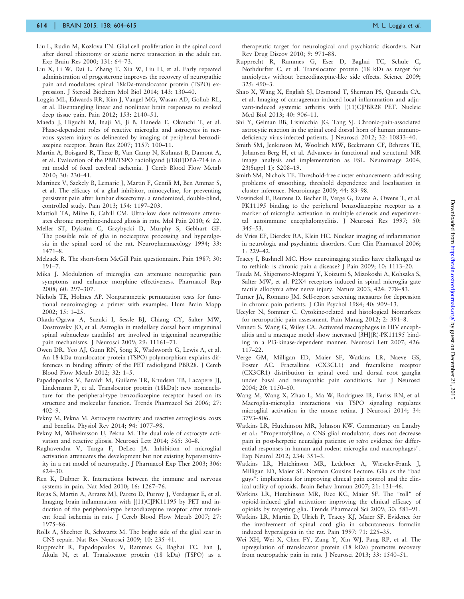- <span id="page-10-0"></span>Liu L, Rudin M, Kozlova EN. Glial cell proliferation in the spinal cord after dorsal rhizotomy or sciatic nerve transection in the adult rat. Exp Brain Res 2000; 131: 64–73.
- Liu X, Li W, Dai L, Zhang T, Xia W, Liu H, et al. Early repeated administration of progesterone improves the recovery of neuropathic pain and modulates spinal 18kDa-translocator protein (TSPO) expression. J Steroid Biochem Mol Biol 2014; 143: 130–40.
- Loggia ML, Edwards RR, Kim J, Vangel MG, Wasan AD, Gollub RL, et al. Disentangling linear and nonlinear brain responses to evoked deep tissue pain. Pain 2012; 153: 2140–51.
- Maeda J, Higuchi M, Inaji M, Ji B, Haneda E, Okauchi T, et al. Phase-dependent roles of reactive microglia and astrocytes in nervous system injury as delineated by imaging of peripheral benzodiazepine receptor. Brain Res 2007; 1157: 100–11.
- Martin A, Boisgard R, Theze B, Van Camp N, Kuhnast B, Damont A, et al. Evaluation of the PBR/TSPO radioligand [(18)F]DPA-714 in a rat model of focal cerebral ischemia. J Cereb Blood Flow Metab 2010; 30: 230–41.
- Martinez V, Szekely B, Lemarie J, Martin F, Gentili M, Ben Ammar S, et al. The efficacy of a glial inhibitor, minocycline, for preventing persistent pain after lumbar discectomy: a randomized, double-blind, controlled study. Pain 2013; 154: 1197–203.
- Mattioli TA, Milne B, Cahill CM. Ultra-low dose naltrexone attenuates chronic morphine-induced gliosis in rats. Mol Pain 2010; 6: 22.
- Meller ST, Dykstra C, Grzybycki D, Murphy S, Gebhart GF. The possible role of glia in nociceptive processing and hyperalgesia in the spinal cord of the rat. Neuropharmacology 1994; 33: 1471–8.
- Melzack R. The short-form McGill Pain questionnaire. Pain 1987; 30: 191–7.
- Mika J. Modulation of microglia can attenuate neuropathic pain symptoms and enhance morphine effectiveness. Pharmacol Rep 2008; 60: 297–307.
- Nichols TE, Holmes AP. Nonparametric permutation tests for functional neuroimaging: a primer with examples. Hum Brain Mapp  $2002 \cdot 15 \cdot 1 - 25$
- Okada-Ogawa A, Suzuki I, Sessle BJ, Chiang CY, Salter MW, Dostrovsky JO, et al. Astroglia in medullary dorsal horn (trigeminal spinal subnucleus caudalis) are involved in trigeminal neuropathic pain mechanisms. J Neurosci 2009; 29: 11161–71.
- Owen DR, Yeo AJ, Gunn RN, Song K, Wadsworth G, Lewis A, et al. An 18-kDa translocator protein (TSPO) polymorphism explains differences in binding affinity of the PET radioligand PBR28. J Cereb Blood Flow Metab 2012; 32: 1–5.
- Papadopoulos V, Baraldi M, Guilarte TR, Knudsen TB, Lacapere JJ, Lindemann P, et al. Translocator protein (18kDa): new nomenclature for the peripheral-type benzodiazepine receptor based on its structure and molecular function. Trends Pharmacol Sci 2006; 27: 402–9.
- Pekny M, Pekna M. Astrocyte reactivity and reactive astrogliosis: costs and benefits. Physiol Rev 2014; 94: 1077–98.
- Pekny M, Wilhelmsson U, Pekna M. The dual role of astrocyte activation and reactive gliosis. Neurosci Lett 2014; 565: 30–8.
- Raghavendra V, Tanga F, DeLeo JA. Inhibition of microglial activation attenuates the development but not existing hypersensitivity in a rat model of neuropathy. J Pharmacol Exp Ther 2003; 306: 624–30.
- Ren K, Dubner R. Interactions between the immune and nervous systems in pain. Nat Med 2010; 16: 1267–76.
- Rojas S, Martin A, Arranz MJ, Pareto D, Purroy J, Verdaguer E, et al. Imaging brain inflammation with [(11)C]PK11195 by PET and induction of the peripheral-type benzodiazepine receptor after transient focal ischemia in rats. J Cereb Blood Flow Metab 2007; 27: 1975–86.
- Rolls A, Shechter R, Schwartz M. The bright side of the glial scar in CNS repair. Nat Rev Neurosci 2009; 10: 235–41.
- Rupprecht R, Papadopoulos V, Rammes G, Baghai TC, Fan J, Akula N, et al. Translocator protein (18 kDa) (TSPO) as a

therapeutic target for neurological and psychiatric disorders. Nat Rev Drug Discov 2010; 9: 971–88.

- Rupprecht R, Rammes G, Eser D, Baghai TC, Schule C, Nothdurfter C, et al. Translocator protein (18 kD) as target for anxiolytics without benzodiazepine-like side effects. Science 2009; 325: 490–3.
- Shao X, Wang X, English SJ, Desmond T, Sherman PS, Quesada CA, et al. Imaging of carrageenan-induced local inflammation and adjuvant-induced systemic arthritis with [(11)C]PBR28 PET. Nucleic Med Biol 2013; 40: 906–11.
- Shi Y, Gelman BB, Lisinicchia JG, Tang SJ. Chronic-pain-associated astrocytic reaction in the spinal cord dorsal horn of human immunodeficiency virus-infected patients. J Neurosci 2012; 32: 10833–40.
- Smith SM, Jenkinson M, Woolrich MW, Beckmann CF, Behrens TE, Johansen-Berg H, et al. Advances in functional and structural MR image analysis and implementation as FSL. Neuroimage 2004; 23(Suppl 1): S208–19.
- Smith SM, Nichols TE. Threshold-free cluster enhancement: addressing problems of smoothing, threshold dependence and localisation in cluster inference. Neuroimage 2009; 44: 83–98.
- Vowinckel E, Reutens D, Becher B, Verge G, Evans A, Owens T, et al. PK11195 binding to the peripheral benzodiazepine receptor as a marker of microglia activation in multiple sclerosis and experimental autoimmune encephalomyelitis. J Neurosci Res 1997; 50: 345–53.
- de Vries EF, Dierckx RA, Klein HC. Nuclear imaging of inflammation in neurologic and psychiatric disorders. Curr Clin Pharmacol 2006; 1: 229–42.
- Tracey I, Bushnell MC. How neuroimaging studies have challenged us to rethink: is chronic pain a disease? J Pain 2009; 10: 1113–20.
- Tsuda M, Shigemoto-Mogami Y, Koizumi S, Mizokoshi A, Kohsaka S, Salter MW, et al. P2X4 receptors induced in spinal microglia gate tactile allodynia after nerve injury. Nature 2003; 424: 778–83.
- Turner JA, Romano JM. Self-report screening measures for depression in chronic pain patients. J Clin Psychol 1984; 40: 909–13.
- Uceyler N, Sommer C. Cytokine-related and histological biomarkers for neuropathic pain assessment. Pain Manag 2012; 2: 391–8.
- Venneti S, Wang G, Wiley CA. Activated macrophages in HIV encephalitis and a macaque model show increased [3H](R)-PK11195 binding in a PI3-kinase-dependent manner. Neurosci Lett 2007; 426: 117–22.
- Verge GM, Milligan ED, Maier SF, Watkins LR, Naeve GS, Foster AC. Fractalkine (CX3CL1) and fractalkine receptor (CX3CR1) distribution in spinal cord and dorsal root ganglia under basal and neuropathic pain conditions. Eur J Neurosci 2004; 20: 1150–60.
- Wang M, Wang X, Zhao L, Ma W, Rodriguez IR, Fariss RN, et al. Macroglia-microglia interactions via TSPO signaling regulates microglial activation in the mouse retina. J Neurosci 2014; 34: 3793–806.
- Watkins LR, Hutchinson MR, Johnson KW. Commentary on Landry et al.: "Propentofylline, a CNS glial modulator, does not decrease pain in post-herpetic neuralgia patients: in vitro evidence for differential responses in human and rodent microglia and macrophages". Exp Neurol 2012; 234: 351–3.
- Watkins LR, Hutchinson MR, Ledeboer A, Wieseler-Frank J, Milligan ED, Maier SF. Norman Cousins Lecture. Glia as the "bad guys": implications for improving clinical pain control and the clinical utility of opioids. Brain Behav Immun 2007; 21: 131–46.
- Watkins LR, Hutchinson MR, Rice KC, Maier SF. The "toll" of opioid-induced glial activation: improving the clinical efficacy of opioids by targeting glia. Trends Pharmacol Sci 2009; 30: 581–91.
- Watkins LR, Martin D, Ulrich P, Tracey KJ, Maier SF. Evidence for the involvement of spinal cord glia in subcutaneous formalin induced hyperalgesia in the rat. Pain 1997; 71: 225–35.
- Wei XH, Wei X, Chen FY, Zang Y, Xin WJ, Pang RP, et al. The upregulation of translocator protein (18 kDa) promotes recovery from neuropathic pain in rats. J Neurosci 2013; 33: 1540–51.